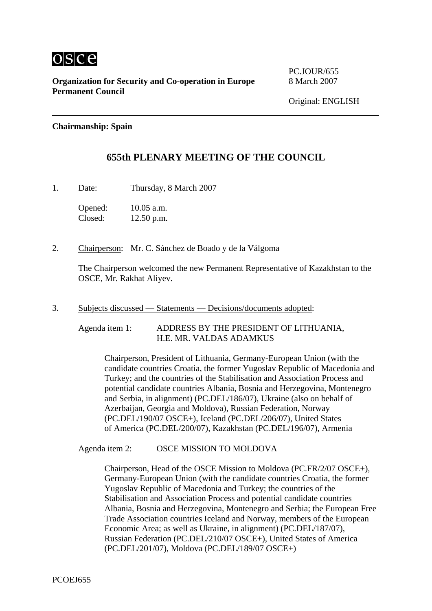

**Organization for Security and Co-operation in Europe** 8 March 2007 **Permanent Council** 

PC.JOUR/655

## **Chairmanship: Spain**

## **655th PLENARY MEETING OF THE COUNCIL**

1. Date: Thursday, 8 March 2007

Opened: 10.05 a.m. Closed: 12.50 p.m.

2. Chairperson: Mr. C. Sánchez de Boado y de la Válgoma

The Chairperson welcomed the new Permanent Representative of Kazakhstan to the OSCE, Mr. Rakhat Aliyev.

3. Subjects discussed — Statements — Decisions/documents adopted:

Agenda item 1: ADDRESS BY THE PRESIDENT OF LITHUANIA, H.E. MR. VALDAS ADAMKUS

Chairperson, President of Lithuania, Germany-European Union (with the candidate countries Croatia, the former Yugoslav Republic of Macedonia and Turkey; and the countries of the Stabilisation and Association Process and potential candidate countries Albania, Bosnia and Herzegovina, Montenegro and Serbia, in alignment) (PC.DEL/186/07), Ukraine (also on behalf of Azerbaijan, Georgia and Moldova), Russian Federation, Norway (PC.DEL/190/07 OSCE+), Iceland (PC.DEL/206/07), United States of America (PC.DEL/200/07), Kazakhstan (PC.DEL/196/07), Armenia

Agenda item 2: OSCE MISSION TO MOLDOVA

Chairperson, Head of the OSCE Mission to Moldova (PC.FR/2/07 OSCE+), Germany-European Union (with the candidate countries Croatia, the former Yugoslav Republic of Macedonia and Turkey; the countries of the Stabilisation and Association Process and potential candidate countries Albania, Bosnia and Herzegovina, Montenegro and Serbia; the European Free Trade Association countries Iceland and Norway, members of the European Economic Area; as well as Ukraine, in alignment) (PC.DEL/187/07), Russian Federation (PC.DEL/210/07 OSCE+), United States of America (PC.DEL/201/07), Moldova (PC.DEL/189/07 OSCE+)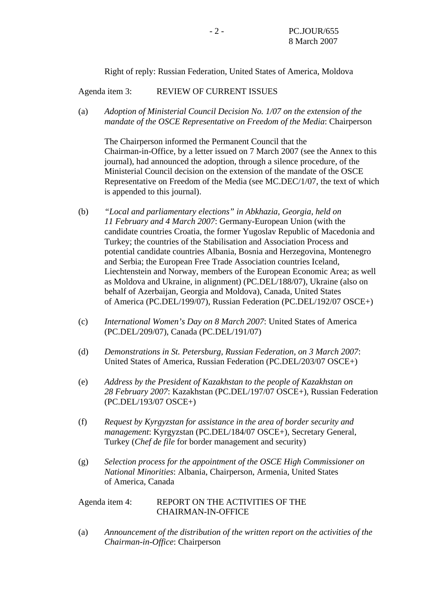Right of reply: Russian Federation, United States of America, Moldova

Agenda item 3: REVIEW OF CURRENT ISSUES

(a) *Adoption of Ministerial Council Decision No. 1/07 on the extension of the mandate of the OSCE Representative on Freedom of the Media*: Chairperson

The Chairperson informed the Permanent Council that the Chairman-in-Office, by a letter issued on 7 March 2007 (see the Annex to this journal), had announced the adoption, through a silence procedure, of the Ministerial Council decision on the extension of the mandate of the OSCE Representative on Freedom of the Media (see MC.DEC/1/07, the text of which is appended to this journal).

- (b) *"Local and parliamentary elections" in Abkhazia, Georgia, held on 11 February and 4 March 2007*: Germany-European Union (with the candidate countries Croatia, the former Yugoslav Republic of Macedonia and Turkey; the countries of the Stabilisation and Association Process and potential candidate countries Albania, Bosnia and Herzegovina, Montenegro and Serbia; the European Free Trade Association countries Iceland, Liechtenstein and Norway, members of the European Economic Area; as well as Moldova and Ukraine, in alignment) (PC.DEL/188/07), Ukraine (also on behalf of Azerbaijan, Georgia and Moldova), Canada, United States of America (PC.DEL/199/07), Russian Federation (PC.DEL/192/07 OSCE+)
- (c) *International Women's Day on 8 March 2007*: United States of America (PC.DEL/209/07), Canada (PC.DEL/191/07)
- (d) *Demonstrations in St. Petersburg, Russian Federation, on 3 March 2007*: United States of America, Russian Federation (PC.DEL/203/07 OSCE+)
- (e) *Address by the President of Kazakhstan to the people of Kazakhstan on 28 February 2007*: Kazakhstan (PC.DEL/197/07 OSCE+), Russian Federation (PC.DEL/193/07 OSCE+)
- (f) *Request by Kyrgyzstan for assistance in the area of border security and management*: Kyrgyzstan (PC.DEL/184/07 OSCE+), Secretary General, Turkey (*Chef de file* for border management and security)
- (g) *Selection process for the appointment of the OSCE High Commissioner on National Minorities*: Albania, Chairperson, Armenia, United States of America, Canada

## Agenda item 4: REPORT ON THE ACTIVITIES OF THE CHAIRMAN-IN-OFFICE

(a) *Announcement of the distribution of the written report on the activities of the Chairman-in-Office*: Chairperson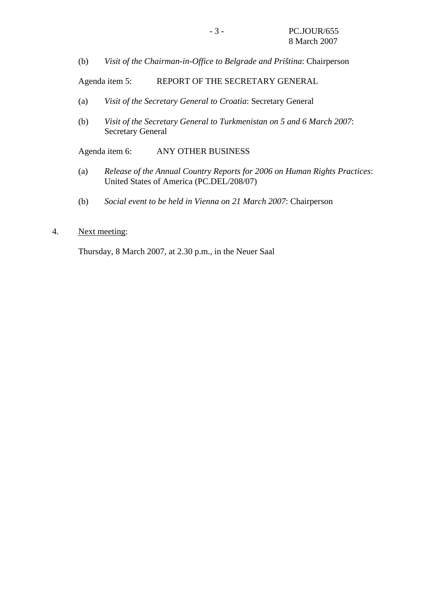(b) *Visit of the Chairman-in-Office to Belgrade and Priština*: Chairperson

Agenda item 5: REPORT OF THE SECRETARY GENERAL

- (a) *Visit of the Secretary General to Croatia*: Secretary General
- (b) *Visit of the Secretary General to Turkmenistan on 5 and 6 March 2007*: Secretary General

Agenda item 6: ANY OTHER BUSINESS

- (a) *Release of the Annual Country Reports for 2006 on Human Rights Practices*: United States of America (PC.DEL/208/07)
- (b) *Social event to be held in Vienna on 21 March 2007*: Chairperson
- 4. Next meeting:

Thursday, 8 March 2007, at 2.30 p.m., in the Neuer Saal